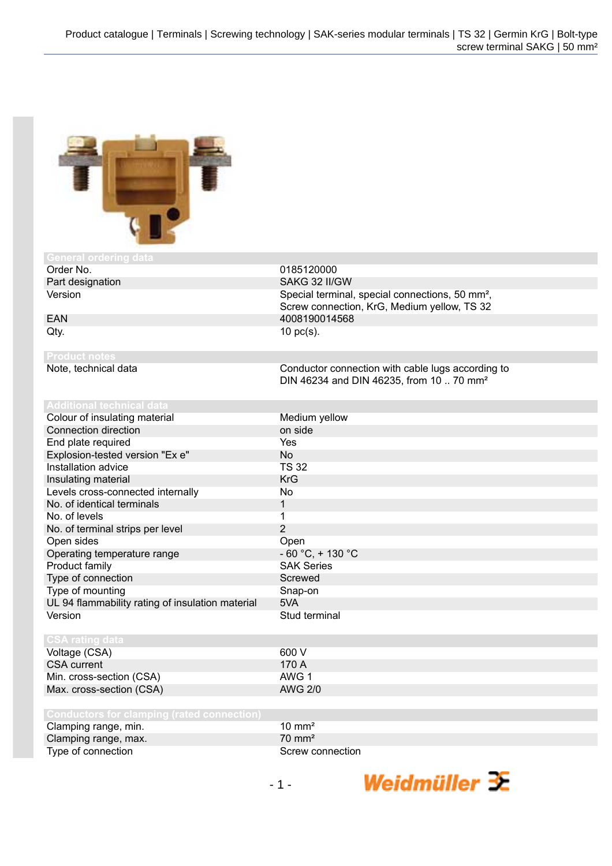

| General ordering data                             |                                                             |
|---------------------------------------------------|-------------------------------------------------------------|
| Order No.                                         | 0185120000                                                  |
| Part designation                                  | SAKG 32 II/GW                                               |
| Version                                           | Special terminal, special connections, 50 mm <sup>2</sup> , |
|                                                   | Screw connection, KrG, Medium yellow, TS 32                 |
| EAN                                               | 4008190014568                                               |
| Qty.                                              | $10$ pc(s).                                                 |
| <b>Product notes</b>                              |                                                             |
| Note, technical data                              | Conductor connection with cable lugs according to           |
|                                                   | DIN 46234 and DIN 46235, from 10  70 mm <sup>2</sup>        |
|                                                   |                                                             |
| <b>Additional technical data</b>                  |                                                             |
| Colour of insulating material                     | Medium yellow                                               |
| Connection direction                              | on side                                                     |
| End plate required                                | Yes                                                         |
| Explosion-tested version "Ex e"                   | <b>No</b>                                                   |
| Installation advice                               | <b>TS 32</b>                                                |
| Insulating material                               | <b>KrG</b>                                                  |
| Levels cross-connected internally                 | <b>No</b>                                                   |
| No. of identical terminals                        | 1                                                           |
| No. of levels                                     | $\mathbf{1}$                                                |
| No. of terminal strips per level                  | $\overline{2}$                                              |
| Open sides                                        | Open                                                        |
| Operating temperature range                       | $-60 °C$ , + 130 °C                                         |
| Product family                                    | <b>SAK Series</b>                                           |
| Type of connection                                | Screwed                                                     |
| Type of mounting                                  | Snap-on                                                     |
| UL 94 flammability rating of insulation material  | 5VA                                                         |
| Version                                           | Stud terminal                                               |
|                                                   |                                                             |
| <b>CSA rating data</b>                            |                                                             |
| Voltage (CSA)                                     | 600 V                                                       |
| <b>CSA</b> current                                | 170 A                                                       |
| Min. cross-section (CSA)                          | AWG <sub>1</sub>                                            |
| Max. cross-section (CSA)                          | <b>AWG 2/0</b>                                              |
|                                                   |                                                             |
| <b>Conductors for clamping (rated connection)</b> |                                                             |
| Clamping range, min.                              | $10 \text{ mm}^2$                                           |
| Clamping range, max.                              | $70 \text{ mm}^2$                                           |
| Type of connection                                | Screw connection                                            |

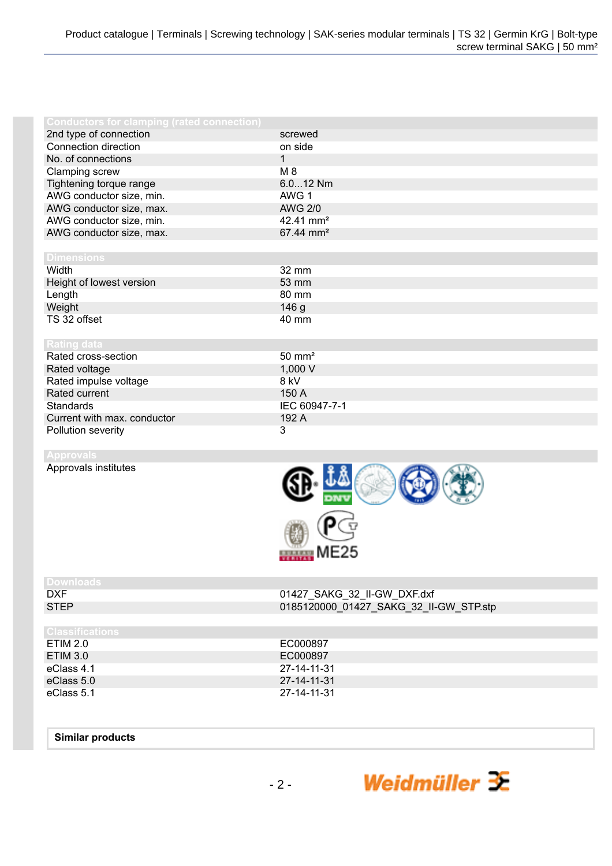| Conductors for clamping (rated connection) |                       |
|--------------------------------------------|-----------------------|
| 2nd type of connection                     | screwed               |
| Connection direction                       | on side               |
| No. of connections                         | $\mathbf{1}$          |
| Clamping screw                             | M 8                   |
| Tightening torque range                    | 6.012 Nm              |
| AWG conductor size, min.                   | AWG 1                 |
| AWG conductor size, max.                   | <b>AWG 2/0</b>        |
| AWG conductor size, min.                   | 42.41 mm <sup>2</sup> |
| AWG conductor size, max.                   | 67.44 mm <sup>2</sup> |
|                                            |                       |
| <b>Dimensions</b>                          |                       |
| Width                                      | 32 mm                 |
| Height of lowest version                   | 53 mm                 |
| Length                                     | 80 mm                 |
| Weight                                     | 146 <sub>g</sub>      |
| TS 32 offset                               | 40 mm                 |
|                                            |                       |
| <b>Rating data</b>                         |                       |
| Rated cross-section                        | $50 \text{ mm}^2$     |
| Rated voltage                              | 1,000 V               |
| Rated impulse voltage                      | 8 kV                  |
| Rated current                              | 150 A                 |
| <b>Standards</b>                           | IEC 60947-7-1         |
| Current with max. conductor                | 192 A                 |
| Pollution severity                         | 3                     |

## **Approvals**

Approvals institutes



Weidmüller  $\mathcal{\mathcal{F}}$ 

| Downloads              |                                        |
|------------------------|----------------------------------------|
| <b>DXF</b>             | 01427_SAKG_32_II-GW_DXF.dxf            |
| <b>STEP</b>            | 0185120000_01427_SAKG_32_II-GW_STP.stp |
|                        |                                        |
| <b>Classifications</b> |                                        |
| ETIM 2.0               | EC000897                               |
| <b>ETIM 3.0</b>        | EC000897                               |
| eClass 4.1             | 27-14-11-31                            |
| eClass 5.0             | 27-14-11-31                            |
| eClass 5.1             | 27-14-11-31                            |
|                        |                                        |

## **Similar products**